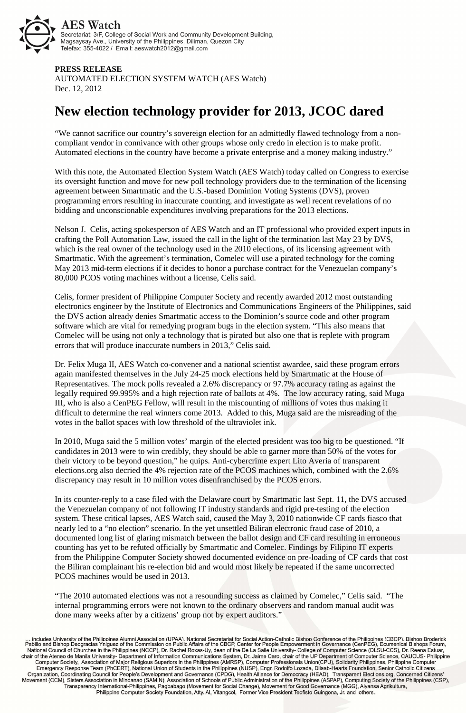

## **PRESS RELEASE**

AUTOMATED ELECTION SYSTEM WATCH (AES Watch) Dec. 12, 2012

## **New election technology provider for 2013, JCOC dared**

"We cannot sacrifice our country's sovereign election for an admittedly flawed technology from a noncompliant vendor in connivance with other groups whose only credo in election is to make profit. Automated elections in the country have become a private enterprise and a money making industry."

With this note, the Automated Election System Watch (AES Watch) today called on Congress to exercise its oversight function and move for new poll technology providers due to the termination of the licensing agreement between Smartmatic and the U.S.-based Dominion Voting Systems (DVS), proven programming errors resulting in inaccurate counting, and investigate as well recent revelations of no bidding and unconscionable expenditures involving preparations for the 2013 elections.

Nelson J. Celis, acting spokesperson of AES Watch and an IT professional who provided expert inputs in crafting the Poll Automation Law, issued the call in the light of the termination last May 23 by DVS, which is the real owner of the technology used in the 2010 elections, of its licensing agreement with Smartmatic. With the agreement's termination, Comelec will use a pirated technology for the coming May 2013 mid-term elections if it decides to honor a purchase contract for the Venezuelan company's 80,000 PCOS voting machines without a license, Celis said.

Celis, former president of Philippine Computer Society and recently awarded 2012 most outstanding electronics engineer by the Institute of Electronics and Communications Engineers of the Philippines, said the DVS action already denies Smartmatic access to the Dominion's source code and other program software which are vital for remedying program bugs in the election system. "This also means that Comelec will be using not only a technology that is pirated but also one that is replete with program errors that will produce inaccurate numbers in 2013," Celis said.

Dr. Felix Muga II, AES Watch co-convener and a national scientist awardee, said these program errors again manifested themselves in the July 24-25 mock elections held by Smartmatic at the House of Representatives. The mock polls revealed a 2.6% discrepancy or 97.7% accuracy rating as against the legally required 99.995% and a high rejection rate of ballots at 4%. The low accuracy rating, said Muga III, who is also a CenPEG Fellow, will result in the miscounting of millions of votes thus making it difficult to determine the real winners come 2013. Added to this, Muga said are the misreading of the votes in the ballot spaces with low threshold of the ultraviolet ink.

In 2010, Muga said the 5 million votes' margin of the elected president was too big to be questioned. "If candidates in 2013 were to win credibly, they should be able to garner more than 50% of the votes for their victory to be beyond question," he quips. Anti-cybercrime expert Lito Averia of transparent elections.org also decried the 4% rejection rate of the PCOS machines which, combined with the 2.6% discrepancy may result in 10 million votes disenfranchised by the PCOS errors.

In its counter-reply to a case filed with the Delaware court by Smartmatic last Sept. 11, the DVS accused the Venezuelan company of not following IT industry standards and rigid pre-testing of the election system. These critical lapses, AES Watch said, caused the May 3, 2010 nationwide CF cards fiasco that nearly led to a "no election" scenario. In the yet unsettled Biliran electronic fraud case of 2010, a documented long list of glaring mismatch between the ballot design and CF card resulting in erroneous counting has yet to be refuted officially by Smartmatic and Comelec. Findings by Filipino IT experts from the Philippine Computer Society showed documented evidence on pre-loading of CF cards that cost the Biliran complainant his re-election bid and would most likely be repeated if the same uncorrected PCOS machines would be used in 2013.

"The 2010 automated elections was not a resounding success as claimed by Comelec," Celis said. "The internal programming errors were not known to the ordinary observers and random manual audit was done many weeks after by a citizens' group not by expert auditors."

... includes University of the Philippines Alumni Association (UPAA), National Secretariat for Social Action-Catholic Bishop Conference of the Philippines (CBCP), Bishop Broderick<br>Pabillo and Bishop Deogracias Yniguez of t National Gouncil of Churches in the Philippines (NCCP), Dr. Rachel Roxas-Uy, dean of the De La Salle University- College of Computer Science (DLSU-CCS), Dr. Reena Estuar,<br>Char of the Ateneo de Manila University- Department Organization, Coordinating Council for People's Development and Governance (CPDG), Health Alliance for Democracy (HEAD), Transparent Elections.org, Concerned Citizens'<br>Movement (CCM), Sisters Association in Mindanao (SAMIN Transparency International-Philippines, Pagbabago (Movement for Social Change), Movement for Good Governance (MGG), Alyansa Agrikultura,<br>Pransparency International-Philippines, Pagbabago (Movement for Social Change), Movem